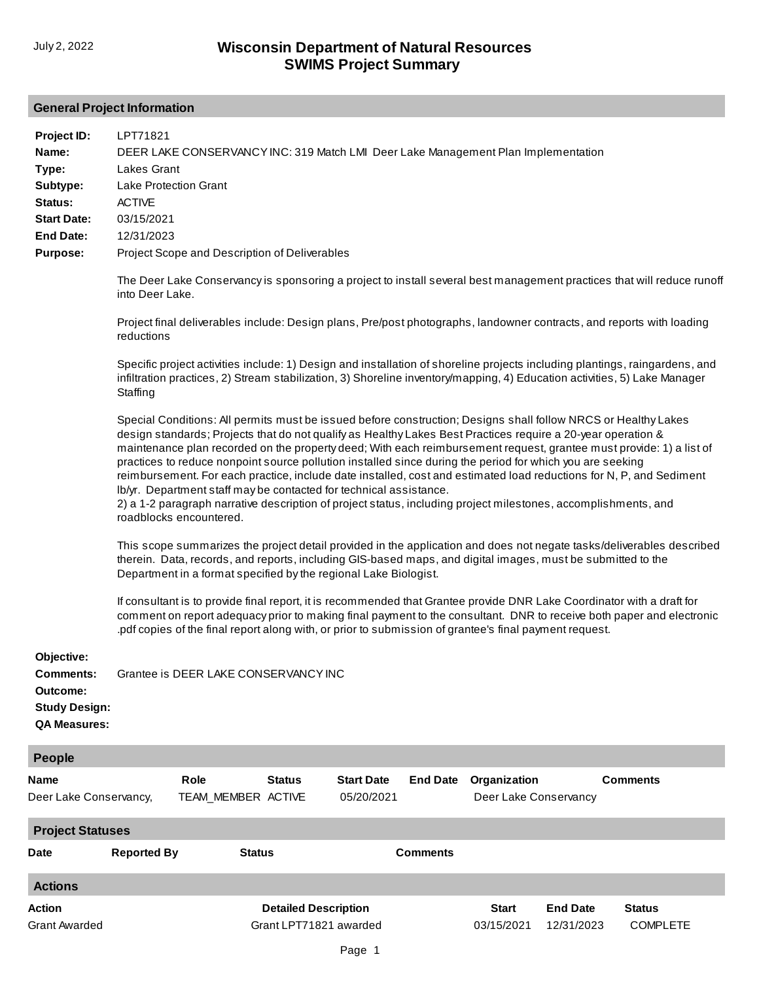## **General Project Information**

| Project ID:<br>Name:<br>Type:<br>Subtype:<br>Status:<br><b>Start Date:</b><br><b>End Date:</b><br>Purpose:<br>Objective: | LPT71821<br>DEER LAKE CONSERVANCY INC: 319 Match LMI Deer Lake Management Plan Implementation<br>Lakes Grant<br><b>Lake Protection Grant</b><br><b>ACTIVE</b><br>03/15/2021<br>12/31/2023<br>Project Scope and Description of Deliverables<br>into Deer Lake.<br>reductions<br>Staffing<br>Special Conditions: All permits must be issued before construction; Designs shall follow NRCS or Healthy Lakes<br>design standards; Projects that do not qualify as Healthy Lakes Best Practices require a 20-year operation &<br>practices to reduce nonpoint source pollution installed since during the period for which you are seeking<br>lb/yr. Department staff may be contacted for technical assistance.<br>2) a 1-2 paragraph narrative description of project status, including project milestones, accomplishments, and<br>roadblocks encountered.<br>therein. Data, records, and reports, including GIS-based maps, and digital images, must be submitted to the<br>Department in a format specified by the regional Lake Biologist.<br>pdf copies of the final report along with, or prior to submission of grantee's final payment request. |                    |                                                       |                                 |                 |                                       |                               | The Deer Lake Conservancy is sponsoring a project to install several best management practices that will reduce runoff<br>Project final deliverables include: Design plans, Pre/post photographs, landowner contracts, and reports with loading<br>Specific project activities include: 1) Design and installation of shoreline projects including plantings, raingardens, and<br>infiltration practices, 2) Stream stabilization, 3) Shoreline inventory/mapping, 4) Education activities, 5) Lake Manager<br>maintenance plan recorded on the property deed; With each reimbursement request, grantee must provide: 1) a list of<br>reimbursement. For each practice, include date installed, cost and estimated load reductions for N, P, and Sediment<br>This scope summarizes the project detail provided in the application and does not negate tasks/deliverables described<br>If consultant is to provide final report, it is recommended that Grantee provide DNR Lake Coordinator with a draft for<br>comment on report adequacy prior to making final payment to the consultant. DNR to receive both paper and electronic |
|--------------------------------------------------------------------------------------------------------------------------|-------------------------------------------------------------------------------------------------------------------------------------------------------------------------------------------------------------------------------------------------------------------------------------------------------------------------------------------------------------------------------------------------------------------------------------------------------------------------------------------------------------------------------------------------------------------------------------------------------------------------------------------------------------------------------------------------------------------------------------------------------------------------------------------------------------------------------------------------------------------------------------------------------------------------------------------------------------------------------------------------------------------------------------------------------------------------------------------------------------------------------------------------------|--------------------|-------------------------------------------------------|---------------------------------|-----------------|---------------------------------------|-------------------------------|--------------------------------------------------------------------------------------------------------------------------------------------------------------------------------------------------------------------------------------------------------------------------------------------------------------------------------------------------------------------------------------------------------------------------------------------------------------------------------------------------------------------------------------------------------------------------------------------------------------------------------------------------------------------------------------------------------------------------------------------------------------------------------------------------------------------------------------------------------------------------------------------------------------------------------------------------------------------------------------------------------------------------------------------------------------------------------------------------------------------------------------|
| <b>Comments:</b><br>Outcome:<br><b>Study Design:</b><br><b>QA Measures:</b>                                              | Grantee is DEER LAKE CONSERVANCY INC                                                                                                                                                                                                                                                                                                                                                                                                                                                                                                                                                                                                                                                                                                                                                                                                                                                                                                                                                                                                                                                                                                                  |                    |                                                       |                                 |                 |                                       |                               |                                                                                                                                                                                                                                                                                                                                                                                                                                                                                                                                                                                                                                                                                                                                                                                                                                                                                                                                                                                                                                                                                                                                      |
| People                                                                                                                   |                                                                                                                                                                                                                                                                                                                                                                                                                                                                                                                                                                                                                                                                                                                                                                                                                                                                                                                                                                                                                                                                                                                                                       |                    |                                                       |                                 |                 |                                       |                               |                                                                                                                                                                                                                                                                                                                                                                                                                                                                                                                                                                                                                                                                                                                                                                                                                                                                                                                                                                                                                                                                                                                                      |
| Name<br>Deer Lake Conservancy,                                                                                           | Role                                                                                                                                                                                                                                                                                                                                                                                                                                                                                                                                                                                                                                                                                                                                                                                                                                                                                                                                                                                                                                                                                                                                                  | TEAM_MEMBER ACTIVE | <b>Status</b>                                         | <b>Start Date</b><br>05/20/2021 | <b>End Date</b> | Organization<br>Deer Lake Conservancy |                               | <b>Comments</b>                                                                                                                                                                                                                                                                                                                                                                                                                                                                                                                                                                                                                                                                                                                                                                                                                                                                                                                                                                                                                                                                                                                      |
| <b>Project Statuses</b>                                                                                                  |                                                                                                                                                                                                                                                                                                                                                                                                                                                                                                                                                                                                                                                                                                                                                                                                                                                                                                                                                                                                                                                                                                                                                       |                    |                                                       |                                 |                 |                                       |                               |                                                                                                                                                                                                                                                                                                                                                                                                                                                                                                                                                                                                                                                                                                                                                                                                                                                                                                                                                                                                                                                                                                                                      |
| <b>Date</b>                                                                                                              | <b>Reported By</b>                                                                                                                                                                                                                                                                                                                                                                                                                                                                                                                                                                                                                                                                                                                                                                                                                                                                                                                                                                                                                                                                                                                                    | <b>Status</b>      |                                                       |                                 | <b>Comments</b> |                                       |                               |                                                                                                                                                                                                                                                                                                                                                                                                                                                                                                                                                                                                                                                                                                                                                                                                                                                                                                                                                                                                                                                                                                                                      |
| <b>Actions</b>                                                                                                           |                                                                                                                                                                                                                                                                                                                                                                                                                                                                                                                                                                                                                                                                                                                                                                                                                                                                                                                                                                                                                                                                                                                                                       |                    |                                                       |                                 |                 |                                       |                               |                                                                                                                                                                                                                                                                                                                                                                                                                                                                                                                                                                                                                                                                                                                                                                                                                                                                                                                                                                                                                                                                                                                                      |
| Action<br><b>Grant Awarded</b>                                                                                           |                                                                                                                                                                                                                                                                                                                                                                                                                                                                                                                                                                                                                                                                                                                                                                                                                                                                                                                                                                                                                                                                                                                                                       |                    | <b>Detailed Description</b><br>Grant LPT71821 awarded |                                 |                 | <b>Start</b><br>03/15/2021            | <b>End Date</b><br>12/31/2023 | <b>Status</b><br><b>COMPLETE</b>                                                                                                                                                                                                                                                                                                                                                                                                                                                                                                                                                                                                                                                                                                                                                                                                                                                                                                                                                                                                                                                                                                     |